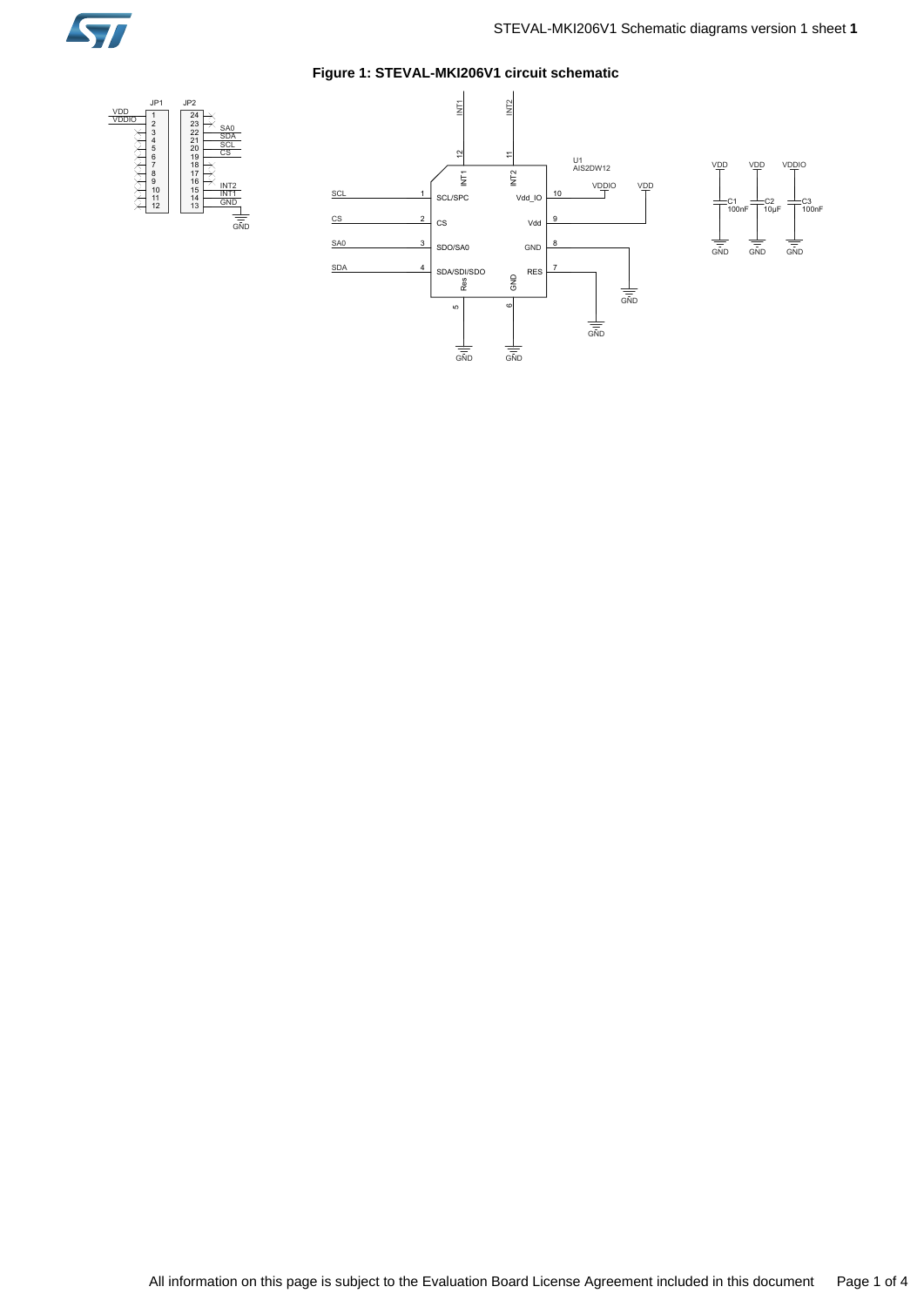

10

µ

F

 $\frac{1}{\sin D}$ 

VDDIO

100nF C3

VDD

 $\frac{1}{\sin D}$ 

# **Figure 1: STEVAL-MKI206V1 circuit schematic**



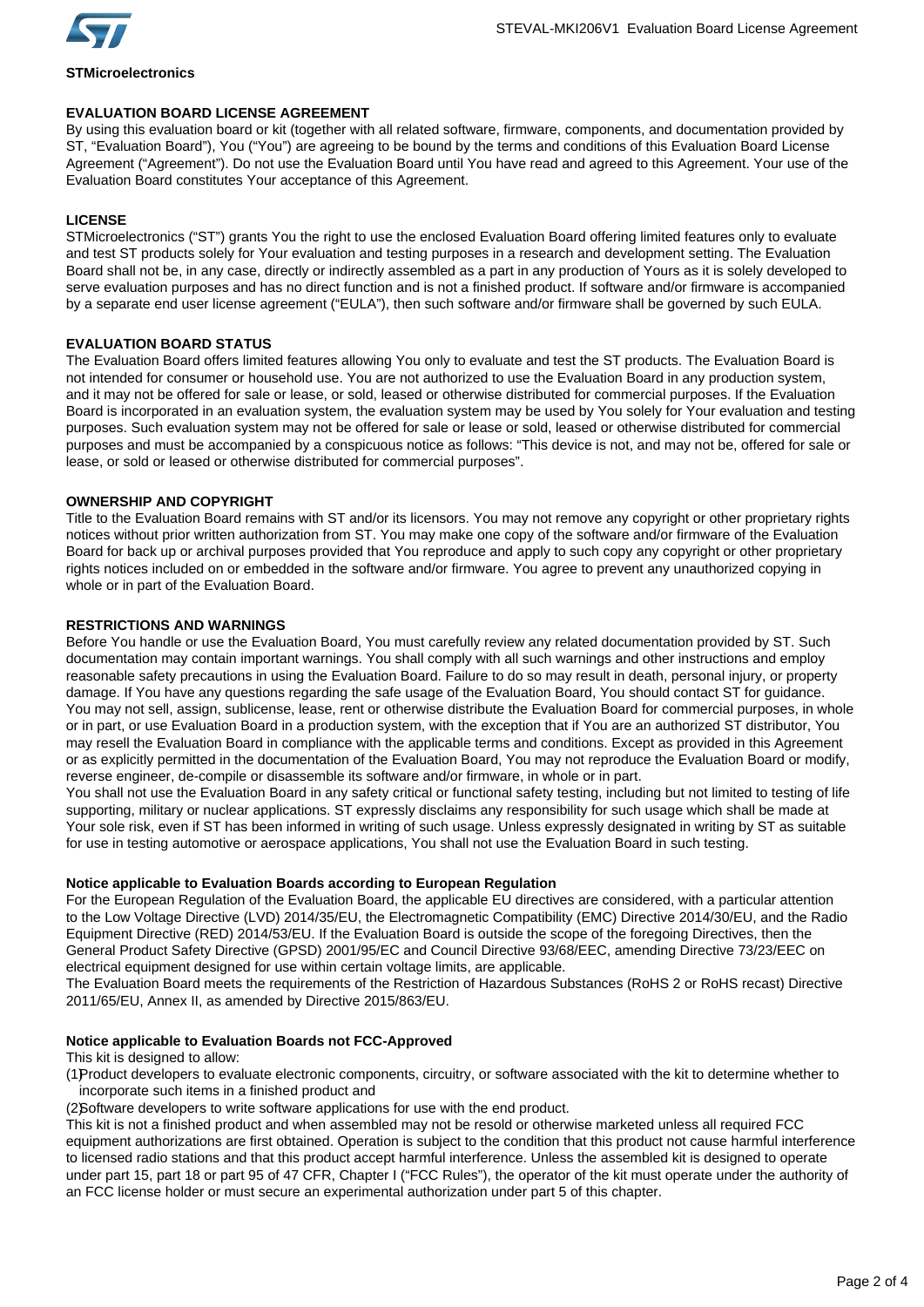

**STMicroelectronics**

**EVALUATION BOARD LICENSE AGREEMENT** By using this evaluation board or kit (together with all related software, firmware, components, and documentation provided by ST, "Evaluation Board"), You ("You") are agreeing to be bound by the terms and conditions of this Evaluation Board License Agreement ("Agreement"). Do not use the Evaluation Board until You have read and agreed to this Agreement. Your use of the Evaluation Board constitutes Your acceptance of this Agreement.

# **LICENSE**

STMicroelectronics ("ST") grants You the right to use the enclosed Evaluation Board offering limited features only to evaluate and test ST products solely for Your evaluation and testing purposes in a research and development setting. The Evaluation Board shall not be, in any case, directly or indirectly assembled as a part in any production of Yours as it is solely developed to serve evaluation purposes and has no direct function and is not a finished product. If software and/or firmware is accompanied by a separate end user license agreement ("EULA"), then such software and/or firmware shall be governed by such EULA.

# **EVALUATION BOARD STATUS**

The Evaluation Board offers limited features allowing You only to evaluate and test the ST products. The Evaluation Board is not intended for consumer or household use. You are not authorized to use the Evaluation Board in any production system, and it may not be offered for sale or lease, or sold, leased or otherwise distributed for commercial purposes. If the Evaluation Board is incorporated in an evaluation system, the evaluation system may be used by You solely for Your evaluation and testing purposes. Such evaluation system may not be offered for sale or lease or sold, leased or otherwise distributed for commercial purposes and must be accompanied by a conspicuous notice as follows: "This device is not, and may not be, offered for sale or lease, or sold or leased or otherwise distributed for commercial purposes".

# **OWNERSHIP AND COPYRIGHT**

Title to the Evaluation Board remains with ST and/or its licensors. You may not remove any copyright or other proprietary rights notices without prior written authorization from ST. You may make one copy of the software and/or firmware of the Evaluation Board for back up or archival purposes provided that You reproduce and apply to such copy any copyright or other proprietary rights notices included on or embedded in the software and/or firmware. You agree to prevent any unauthorized copying in whole or in part of the Evaluation Board.

# **RESTRICTIONS AND WARNINGS**

Before You handle or use the Evaluation Board, You must carefully review any related documentation provided by ST. Such documentation may contain important warnings. You shall comply with all such warnings and other instructions and employ reasonable safety precautions in using the Evaluation Board. Failure to do so may result in death, personal injury, or property damage. If You have any questions regarding the safe usage of the Evaluation Board, You should contact ST for guidance. You may not sell, assign, sublicense, lease, rent or otherwise distribute the Evaluation Board for commercial purposes, in whole or in part, or use Evaluation Board in a production system, with the exception that if You are an authorized ST distributor, You may resell the Evaluation Board in compliance with the applicable terms and conditions. Except as provided in this Agreement or as explicitly permitted in the documentation of the Evaluation Board, You may not reproduce the Evaluation Board or modify, reverse engineer, de-compile or disassemble its software and/or firmware, in whole or in part.

You shall not use the Evaluation Board in any safety critical or functional safety testing, including but not limited to testing of life supporting, military or nuclear applications. ST expressly disclaims any responsibility for such usage which shall be made at Your sole risk, even if ST has been informed in writing of such usage. Unless expressly designated in writing by ST as suitable for use in testing automotive or aerospace applications, You shall not use the Evaluation Board in such testing.

# **Notice applicable to Evaluation Boards according to European Regulation**

For the European Regulation of the Evaluation Board, the applicable EU directives are considered, with a particular attention to the Low Voltage Directive (LVD) 2014/35/EU, the Electromagnetic Compatibility (EMC) Directive 2014/30/EU, and the Radio Equipment Directive (RED) 2014/53/EU. If the Evaluation Board is outside the scope of the foregoing Directives, then the General Product Safety Directive (GPSD) 2001/95/EC and Council Directive 93/68/EEC, amending Directive 73/23/EEC on electrical equipment designed for use within certain voltage limits, are applicable.

The Evaluation Board meets the requirements of the Restriction of Hazardous Substances (RoHS 2 or RoHS recast) Directive 2011/65/EU, Annex II, as amended by Directive 2015/863/EU.

# **Notice applicable to Evaluation Boards not FCC-Approved**

This kit is designed to allow:

(1)Product developers to evaluate electronic components, circuitry, or software associated with the kit to determine whether to incorporate such items in a finished product and

(2)Software developers to write software applications for use with the end product.

This kit is not a finished product and when assembled may not be resold or otherwise marketed unless all required FCC equipment authorizations are first obtained. Operation is subject to the condition that this product not cause harmful interference to licensed radio stations and that this product accept harmful interference. Unless the assembled kit is designed to operate under part 15, part 18 or part 95 of 47 CFR, Chapter I ("FCC Rules"), the operator of the kit must operate under the authority of an FCC license holder or must secure an experimental authorization under part 5 of this chapter.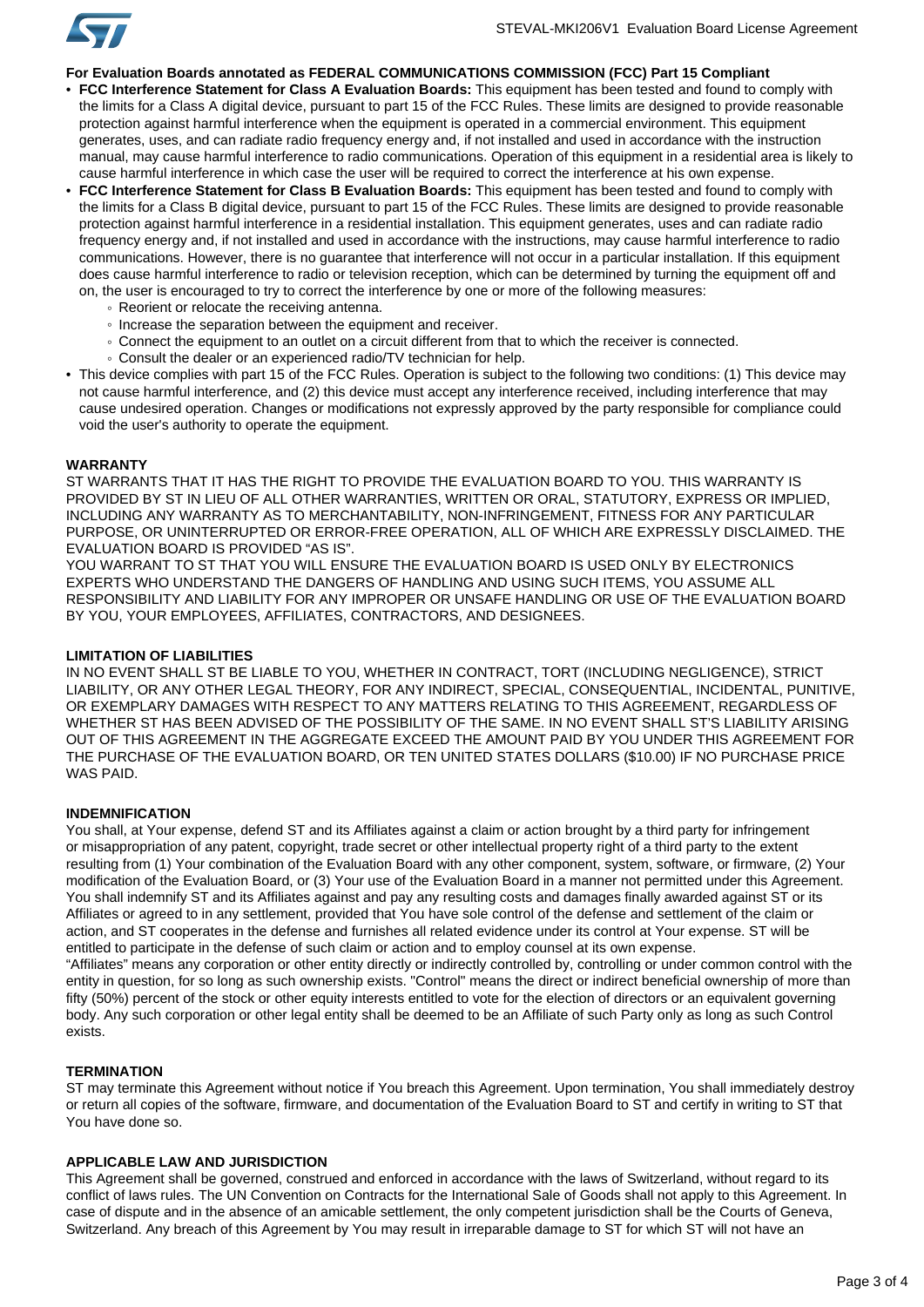

# **For Evaluation Boards annotated as FEDERAL COMMUNICATIONS COMMISSION (FCC) Part 15 Compliant**

- **FCC Interference Statement for Class A Evaluation Boards:** This equipment has been tested and found to comply with the limits for a Class A digital device, pursuant to part 15 of the FCC Rules. These limits are designed to provide reasonable protection against harmful interference when the equipment is operated in a commercial environment. This equipment generates, uses, and can radiate radio frequency energy and, if not installed and used in accordance with the instruction manual, may cause harmful interference to radio communications. Operation of this equipment in a residential area is likely to cause harmful interference in which case the user will be required to correct the interference at his own expense.
- **FCC Interference Statement for Class B Evaluation Boards:** This equipment has been tested and found to comply with the limits for a Class B digital device, pursuant to part 15 of the FCC Rules. These limits are designed to provide reasonable protection against harmful interference in a residential installation. This equipment generates, uses and can radiate radio frequency energy and, if not installed and used in accordance with the instructions, may cause harmful interference to radio communications. However, there is no guarantee that interference will not occur in a particular installation. If this equipment does cause harmful interference to radio or television reception, which can be determined by turning the equipment off and on, the user is encouraged to try to correct the interference by one or more of the following measures:
	- Reorient or relocate the receiving antenna.
	- Increase the separation between the equipment and receiver.
	- Connect the equipment to an outlet on a circuit different from that to which the receiver is connected.
	- Consult the dealer or an experienced radio/TV technician for help.
- This device complies with part 15 of the FCC Rules. Operation is subject to the following two conditions: (1) This device may not cause harmful interference, and (2) this device must accept any interference received, including interference that may cause undesired operation. Changes or modifications not expressly approved by the party responsible for compliance could void the user's authority to operate the equipment.

#### **WARRANTY**

ST WARRANTS THAT IT HAS THE RIGHT TO PROVIDE THE EVALUATION BOARD TO YOU. THIS WARRANTY IS PROVIDED BY ST IN LIEU OF ALL OTHER WARRANTIES, WRITTEN OR ORAL, STATUTORY, EXPRESS OR IMPLIED, INCLUDING ANY WARRANTY AS TO MERCHANTABILITY, NON-INFRINGEMENT, FITNESS FOR ANY PARTICULAR PURPOSE, OR UNINTERRUPTED OR ERROR-FREE OPERATION, ALL OF WHICH ARE EXPRESSLY DISCLAIMED. THE EVALUATION BOARD IS PROVIDED "AS IS".

YOU WARRANT TO ST THAT YOU WILL ENSURE THE EVALUATION BOARD IS USED ONLY BY ELECTRONICS EXPERTS WHO UNDERSTAND THE DANGERS OF HANDLING AND USING SUCH ITEMS, YOU ASSUME ALL RESPONSIBILITY AND LIABILITY FOR ANY IMPROPER OR UNSAFE HANDLING OR USE OF THE EVALUATION BOARD BY YOU, YOUR EMPLOYEES, AFFILIATES, CONTRACTORS, AND DESIGNEES.

#### **LIMITATION OF LIABILITIES**

IN NO EVENT SHALL ST BE LIABLE TO YOU, WHETHER IN CONTRACT, TORT (INCLUDING NEGLIGENCE), STRICT LIABILITY, OR ANY OTHER LEGAL THEORY, FOR ANY INDIRECT, SPECIAL, CONSEQUENTIAL, INCIDENTAL, PUNITIVE, OR EXEMPLARY DAMAGES WITH RESPECT TO ANY MATTERS RELATING TO THIS AGREEMENT, REGARDLESS OF WHETHER ST HAS BEEN ADVISED OF THE POSSIBILITY OF THE SAME. IN NO EVENT SHALL ST'S LIABILITY ARISING OUT OF THIS AGREEMENT IN THE AGGREGATE EXCEED THE AMOUNT PAID BY YOU UNDER THIS AGREEMENT FOR THE PURCHASE OF THE EVALUATION BOARD, OR TEN UNITED STATES DOLLARS (\$10.00) IF NO PURCHASE PRICE WAS PAID.

### **INDEMNIFICATION**

You shall, at Your expense, defend ST and its Affiliates against a claim or action brought by a third party for infringement or misappropriation of any patent, copyright, trade secret or other intellectual property right of a third party to the extent resulting from (1) Your combination of the Evaluation Board with any other component, system, software, or firmware, (2) Your modification of the Evaluation Board, or (3) Your use of the Evaluation Board in a manner not permitted under this Agreement. You shall indemnify ST and its Affiliates against and pay any resulting costs and damages finally awarded against ST or its Affiliates or agreed to in any settlement, provided that You have sole control of the defense and settlement of the claim or action, and ST cooperates in the defense and furnishes all related evidence under its control at Your expense. ST will be entitled to participate in the defense of such claim or action and to employ counsel at its own expense. "Affiliates" means any corporation or other entity directly or indirectly controlled by, controlling or under common control with the entity in question, for so long as such ownership exists. "Control" means the direct or indirect beneficial ownership of more than fifty (50%) percent of the stock or other equity interests entitled to vote for the election of directors or an equivalent governing body. Any such corporation or other legal entity shall be deemed to be an Affiliate of such Party only as long as such Control

### **TERMINATION**

exists.

ST may terminate this Agreement without notice if You breach this Agreement. Upon termination, You shall immediately destroy or return all copies of the software, firmware, and documentation of the Evaluation Board to ST and certify in writing to ST that You have done so.

## **APPLICABLE LAW AND JURISDICTION**

This Agreement shall be governed, construed and enforced in accordance with the laws of Switzerland, without regard to its conflict of laws rules. The UN Convention on Contracts for the International Sale of Goods shall not apply to this Agreement. In case of dispute and in the absence of an amicable settlement, the only competent jurisdiction shall be the Courts of Geneva, Switzerland. Any breach of this Agreement by You may result in irreparable damage to ST for which ST will not have an